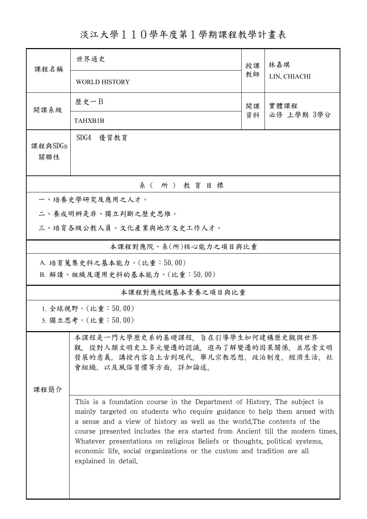淡江大學110學年度第1學期課程教學計畫表

| 課程名稱                      | 世界通史                                                                                                                                                                                                                                                                                                                                                                                                                                                                                               | 授課 | 林嘉琪<br>LIN, CHIACHI |  |  |  |
|---------------------------|----------------------------------------------------------------------------------------------------------------------------------------------------------------------------------------------------------------------------------------------------------------------------------------------------------------------------------------------------------------------------------------------------------------------------------------------------------------------------------------------------|----|---------------------|--|--|--|
|                           | <b>WORLD HISTORY</b>                                                                                                                                                                                                                                                                                                                                                                                                                                                                               | 教師 |                     |  |  |  |
| 開課系級                      | 歷史一日<br>實體課程<br>開課                                                                                                                                                                                                                                                                                                                                                                                                                                                                                 |    |                     |  |  |  |
|                           | TAHXB1B                                                                                                                                                                                                                                                                                                                                                                                                                                                                                            | 資料 | 必修 上學期 3學分          |  |  |  |
| 課程與SDGs<br>關聯性            | SDG4<br>優質教育                                                                                                                                                                                                                                                                                                                                                                                                                                                                                       |    |                     |  |  |  |
| 系(所)教育目標                  |                                                                                                                                                                                                                                                                                                                                                                                                                                                                                                    |    |                     |  |  |  |
|                           | 一、培養史學研究及應用之人才。                                                                                                                                                                                                                                                                                                                                                                                                                                                                                    |    |                     |  |  |  |
| 二、養成明辨是非、獨立判斷之歷史思維。       |                                                                                                                                                                                                                                                                                                                                                                                                                                                                                                    |    |                     |  |  |  |
|                           | 三、培育各級公教人員、文化產業與地方文史工作人才。                                                                                                                                                                                                                                                                                                                                                                                                                                                                          |    |                     |  |  |  |
|                           | 本課程對應院、系(所)核心能力之項目與比重                                                                                                                                                                                                                                                                                                                                                                                                                                                                              |    |                     |  |  |  |
| A. 培育蒐集史料之基本能力。(比重:50.00) |                                                                                                                                                                                                                                                                                                                                                                                                                                                                                                    |    |                     |  |  |  |
|                           | B. 解讀、組織及運用史料的基本能力。(比重:50.00)                                                                                                                                                                                                                                                                                                                                                                                                                                                                      |    |                     |  |  |  |
| 本課程對應校級基本素養之項目與比重         |                                                                                                                                                                                                                                                                                                                                                                                                                                                                                                    |    |                     |  |  |  |
| 1. 全球視野。(比重: $50.00$ )    |                                                                                                                                                                                                                                                                                                                                                                                                                                                                                                    |    |                     |  |  |  |
| 5. 獨立思考。(比重:50.00)        |                                                                                                                                                                                                                                                                                                                                                                                                                                                                                                    |    |                     |  |  |  |
| 课程简介                      | 本課程是一門大學歷史系的基礎課程,旨在引導學生如何建構歷史觀與世界<br>觀,從對人類文明史上多元變遷的認識,進而了解變遷的因果關係,並思索文明<br>發展的意義。講授内容自上古到現代,舉凡宗教思想、政治制度、經濟生活、社<br>會組織、以及風俗習慣等方面,詳加論述。                                                                                                                                                                                                                                                                                                                                                             |    |                     |  |  |  |
|                           | This is a foundation course in the Department of History. The subject is<br>mainly targeted on students who require guidance to help them armed with<br>a sense and a view of history as well as the world. The contents of the<br>course presented includes the era started from Ancient till the modern times.<br>Whatever presentations on religious Beliefs or thoughts, political systems,<br>economic life, social organizations or the custom and tradition are all<br>explained in detail. |    |                     |  |  |  |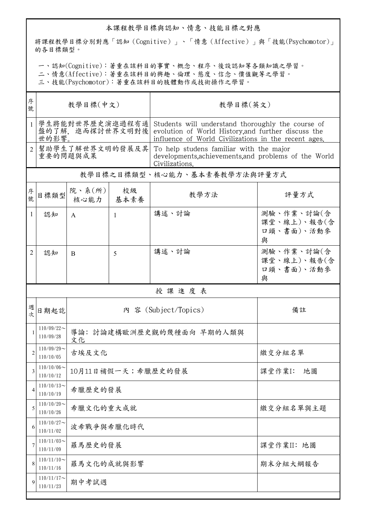## 本課程教學目標與認知、情意、技能目標之對應

將課程教學目標分別對應「認知(Cognitive)」、「情意(Affective)」與「技能(Psychomotor)」 的各目標類型。

一、認知(Cognitive):著重在該科目的事實、概念、程序、後設認知等各類知識之學習。

二、情意(Affective):著重在該科目的興趣、倫理、態度、信念、價值觀等之學習。

三、技能(Psychomotor):著重在該科目的肢體動作或技術操作之學習。

| 序<br>號         | 教學目標(中文)                                     |                                 |                | 教學目標(英文)                                                                                                                                                         |                                              |  |
|----------------|----------------------------------------------|---------------------------------|----------------|------------------------------------------------------------------------------------------------------------------------------------------------------------------|----------------------------------------------|--|
| $\mathbf{1}$   | 學生將能對世界歷史演進過程有通 <br>盤的了解,進而探討世界文明對後<br>世的影響。 |                                 |                | Students will understand thoroughly the course of<br>evolution of World History, and further discuss the<br>influence of World Civilizations in the recent ages. |                                              |  |
| $\overline{2}$ | 幫助學生了解世界文明的發展及其<br>重要的問題與成果                  |                                 |                | To help studens familiar with the major<br>developments, achievements, and problems of the World<br>Civilizations.                                               |                                              |  |
|                |                                              |                                 |                | 教學目標之目標類型、核心能力、基本素養教學方法與評量方式                                                                                                                                     |                                              |  |
| 序號             | 目標類型                                         | 院、系(所)<br>核心能力                  | 校級<br>基本素養     | 教學方法                                                                                                                                                             | 評量方式                                         |  |
| 1              | 認知                                           | A                               | $\overline{1}$ | 講述、討論                                                                                                                                                            | 測驗、作業、討論(含<br>課堂、線上)、報告(含<br>口頭、書面)、活動參<br>與 |  |
| 2              | 認知                                           | <sub>B</sub>                    | 5              | 講述、討論                                                                                                                                                            | 測驗、作業、討論(含<br>課堂、線上)、報告(含<br>口頭、書面)、活動參<br>與 |  |
|                | 授課進度表                                        |                                 |                |                                                                                                                                                                  |                                              |  |
| 週次             | 日期起訖                                         |                                 |                | 內 容 (Subject/Topics)                                                                                                                                             | 備註                                           |  |
| 1              | $110/09/22$ ~<br>110/09/28                   | 導論: 討論建構歐洲歷史觀的幾種面向 早期的人類與<br>文化 |                |                                                                                                                                                                  |                                              |  |
| $\overline{2}$ | $110/09/29$ ~<br>110/10/05                   | 古埃及文化<br>繳交分組名單                 |                |                                                                                                                                                                  |                                              |  |
| 3              | 110/10/06<br>110/10/12                       | 10月11日補假一天;希臘歷史的發展<br>課堂作業I:    |                |                                                                                                                                                                  |                                              |  |
| 4              | $110/10/13$ ~<br>110/10/19                   | 希臘歷史的發展                         |                |                                                                                                                                                                  |                                              |  |
| 5              | $110/10/20$ ~<br>110/10/26                   | 希臘文化的重大成就<br>繳交分組名單與主題          |                |                                                                                                                                                                  |                                              |  |
| 6              | $110/10/27$ ~<br>110/11/02                   | 波希戰爭與希臘化時代                      |                |                                                                                                                                                                  |                                              |  |
| 7              | $110/11/03$ ~<br>110/11/09                   | 羅馬歷史的發展<br>課堂作業II: 地圖           |                |                                                                                                                                                                  |                                              |  |
| 8              | $110/11/10$ ~<br>110/11/16                   | 羅馬文化的成就與影響<br>期末分組大綱報告          |                |                                                                                                                                                                  |                                              |  |
| 9              | $110/11/17$ ~<br>期中考試週<br>110/11/23          |                                 |                |                                                                                                                                                                  |                                              |  |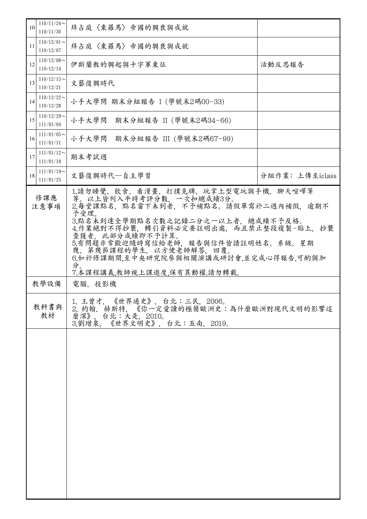| $110/11/24$ ~<br>10<br>110/11/30 | 拜占庭〈東羅馬〉帝國的興衰與成就                                                                                                                                                                                                                                                                                                                                              |                 |
|----------------------------------|---------------------------------------------------------------------------------------------------------------------------------------------------------------------------------------------------------------------------------------------------------------------------------------------------------------------------------------------------------------|-----------------|
| $110/12/01$ ~<br>11<br>110/12/07 | 拜占庭〈東羅馬〉帝國的興衰與成就                                                                                                                                                                                                                                                                                                                                              |                 |
| $110/12/08$ ~<br>12<br>110/12/14 | 伊斯蘭教的興起與十字軍東征                                                                                                                                                                                                                                                                                                                                                 | 活動反思報告          |
| $110/12/15$ ~<br>13<br>110/12/21 | 文藝復興時代                                                                                                                                                                                                                                                                                                                                                        |                 |
| $110/12/22$ ~<br>14<br>110/12/28 | 小手大學問 期末分組報告 I (學號末2碼00-33)                                                                                                                                                                                                                                                                                                                                   |                 |
| $110/12/29$ ~<br>15<br>111/01/04 | 小手大學問 期末分組報告 II (學號末2碼34-66)                                                                                                                                                                                                                                                                                                                                  |                 |
| $111/01/05$ ~<br>16<br>111/01/11 | 小手大學問 期末分組報告 III (學號末2碼67-99)                                                                                                                                                                                                                                                                                                                                 |                 |
| $111/01/12$ ~<br>17<br>111/01/18 | 期末考試週                                                                                                                                                                                                                                                                                                                                                         |                 |
| $111/01/19$ ~<br>18<br>111/01/25 | 文藝復興時代—自主學習                                                                                                                                                                                                                                                                                                                                                   | 分組作業: 上傳至iclass |
| 修課應<br>注意事項                      | 1.請勿睡覺、飲食、看漫畫、打撲克牌、玩掌上型電玩與手機、聊天喧嘩等<br>等。以上皆列入平時考評分數,一次扣總成績3分。<br>2.每堂課點名,點名當下未到者,不予補點名。請假單需於二週內補假,逾期不<br>予受理。<br>3.點名未到達全學期點名次數之記錄二分之一以上者,總成績不予及格。<br>4.作業絕對不得抄襲,轉引資料必定要註明出處,而且禁止整段複製-貼上,抄襲<br>查獲者,此部分成績即不予計算。<br>5.有問題非常歡迎隨時寫信給老師,報告與信件皆請註明姓名、系級、星期<br>幾、第幾節課程的學生,以方便老師解答,回覆。<br>6.如於修課期間,至中央研究院參與相關演講或研討會,並完成心得報告,可酌與加<br>分.<br>7.本課程講義,教師視上課進度,保有異動權.請勿轉載. |                 |
| 教學設備                             | 電腦、投影機                                                                                                                                                                                                                                                                                                                                                        |                 |
| 教科書與<br>教材                       | 1. 王曾才, 《世界通史》, 台北:三民, 2006。<br>2. 約翰. 赫斯特, 《你一定爱讀的極簡歐洲史:為什麼歐洲對現代文明的影響這<br>麼深》, 台北:大是, 2010。<br>3.劉增泉, 《世界文明史》, 台北:五南, 2019。                                                                                                                                                                                                                                  |                 |
|                                  |                                                                                                                                                                                                                                                                                                                                                               |                 |